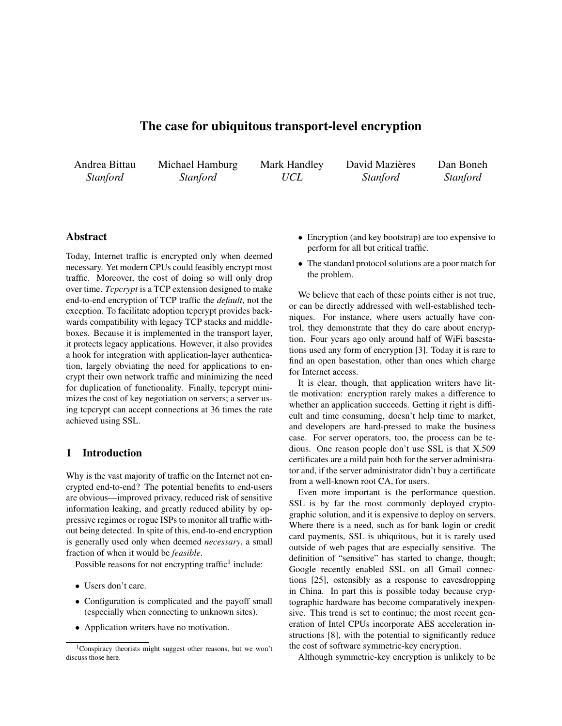# The case for ubiquitous transport-level encryption

Andrea Bittau *Stanford*

Michael Hamburg *Stanford*

Mark Handley *UCL*

David Mazières *Stanford*

Dan Boneh *Stanford*

# Abstract

Today, Internet traffic is encrypted only when deemed necessary. Yet modern CPUs could feasibly encrypt most traffic. Moreover, the cost of doing so will only drop over time. *Tcpcrypt* is a TCP extension designed to make end-to-end encryption of TCP traffic the *default*, not the exception. To facilitate adoption tcpcrypt provides backwards compatibility with legacy TCP stacks and middleboxes. Because it is implemented in the transport layer, it protects legacy applications. However, it also provides a hook for integration with application-layer authentication, largely obviating the need for applications to encrypt their own network traffic and minimizing the need for duplication of functionality. Finally, tcpcrypt minimizes the cost of key negotiation on servers; a server using tcpcrypt can accept connections at 36 times the rate achieved using SSL.

# 1 Introduction

Why is the vast majority of traffic on the Internet not encrypted end-to-end? The potential benefits to end-users are obvious—improved privacy, reduced risk of sensitive information leaking, and greatly reduced ability by oppressive regimes or rogue ISPs to monitor all traffic without being detected. In spite of this, end-to-end encryption is generally used only when deemed *necessary*, a small fraction of when it would be *feasible*.

Possible reasons for not encrypting traffic<sup>[1](#page-0-0)</sup> include:

- Users don't care.
- Configuration is complicated and the payoff small (especially when connecting to unknown sites).
- Application writers have no motivation.
- Encryption (and key bootstrap) are too expensive to perform for all but critical traffic.
- The standard protocol solutions are a poor match for the problem.

We believe that each of these points either is not true, or can be directly addressed with well-established techniques. For instance, where users actually have control, they demonstrate that they do care about encryption. Four years ago only around half of WiFi basestations used any form of encryption [\[3\]](#page-15-0). Today it is rare to find an open basestation, other than ones which charge for Internet access.

It is clear, though, that application writers have little motivation: encryption rarely makes a difference to whether an application succeeds. Getting it right is difficult and time consuming, doesn't help time to market, and developers are hard-pressed to make the business case. For server operators, too, the process can be tedious. One reason people don't use SSL is that X.509 certificates are a mild pain both for the server administrator and, if the server administrator didn't buy a certificate from a well-known root CA, for users.

Even more important is the performance question. SSL is by far the most commonly deployed cryptographic solution, and it is expensive to deploy on servers. Where there is a need, such as for bank login or credit card payments, SSL is ubiquitous, but it is rarely used outside of web pages that are especially sensitive. The definition of "sensitive" has started to change, though; Google recently enabled SSL on all Gmail connections [\[25\]](#page-15-1), ostensibly as a response to eavesdropping in China. In part this is possible today because cryptographic hardware has become comparatively inexpensive. This trend is set to continue; the most recent generation of Intel CPUs incorporate AES acceleration instructions [\[8\]](#page-15-2), with the potential to significantly reduce the cost of software symmetric-key encryption.

Although symmetric-key encryption is unlikely to be

<span id="page-0-0"></span><sup>1</sup>Conspiracy theorists might suggest other reasons, but we won't discuss those here.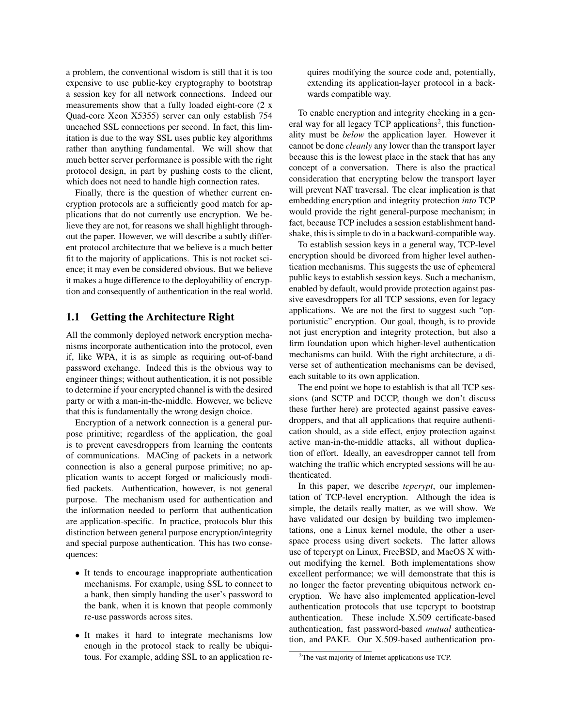a problem, the conventional wisdom is still that it is too expensive to use public-key cryptography to bootstrap a session key for all network connections. Indeed our measurements show that a fully loaded eight-core (2 x Quad-core Xeon X5355) server can only establish 754 uncached SSL connections per second. In fact, this limitation is due to the way SSL uses public key algorithms rather than anything fundamental. We will show that much better server performance is possible with the right protocol design, in part by pushing costs to the client, which does not need to handle high connection rates.

Finally, there is the question of whether current encryption protocols are a sufficiently good match for applications that do not currently use encryption. We believe they are not, for reasons we shall highlight throughout the paper. However, we will describe a subtly different protocol architecture that we believe is a much better fit to the majority of applications. This is not rocket science; it may even be considered obvious. But we believe it makes a huge difference to the deployability of encryption and consequently of authentication in the real world.

# 1.1 Getting the Architecture Right

All the commonly deployed network encryption mechanisms incorporate authentication into the protocol, even if, like WPA, it is as simple as requiring out-of-band password exchange. Indeed this is the obvious way to engineer things; without authentication, it is not possible to determine if your encrypted channel is with the desired party or with a man-in-the-middle. However, we believe that this is fundamentally the wrong design choice.

Encryption of a network connection is a general purpose primitive; regardless of the application, the goal is to prevent eavesdroppers from learning the contents of communications. MACing of packets in a network connection is also a general purpose primitive; no application wants to accept forged or maliciously modified packets. Authentication, however, is not general purpose. The mechanism used for authentication and the information needed to perform that authentication are application-specific. In practice, protocols blur this distinction between general purpose encryption/integrity and special purpose authentication. This has two consequences:

- It tends to encourage inappropriate authentication mechanisms. For example, using SSL to connect to a bank, then simply handing the user's password to the bank, when it is known that people commonly re-use passwords across sites.
- It makes it hard to integrate mechanisms low enough in the protocol stack to really be ubiquitous. For example, adding SSL to an application re-

quires modifying the source code and, potentially, extending its application-layer protocol in a backwards compatible way.

To enable encryption and integrity checking in a gen-eral way for all legacy TCP applications<sup>[2](#page-1-0)</sup>, this functionality must be *below* the application layer. However it cannot be done *cleanly* any lower than the transport layer because this is the lowest place in the stack that has any concept of a conversation. There is also the practical consideration that encrypting below the transport layer will prevent NAT traversal. The clear implication is that embedding encryption and integrity protection *into* TCP would provide the right general-purpose mechanism; in fact, because TCP includes a session establishment handshake, this is simple to do in a backward-compatible way.

To establish session keys in a general way, TCP-level encryption should be divorced from higher level authentication mechanisms. This suggests the use of ephemeral public keys to establish session keys. Such a mechanism, enabled by default, would provide protection against passive eavesdroppers for all TCP sessions, even for legacy applications. We are not the first to suggest such "opportunistic" encryption. Our goal, though, is to provide not just encryption and integrity protection, but also a firm foundation upon which higher-level authentication mechanisms can build. With the right architecture, a diverse set of authentication mechanisms can be devised, each suitable to its own application.

The end point we hope to establish is that all TCP sessions (and SCTP and DCCP, though we don't discuss these further here) are protected against passive eavesdroppers, and that all applications that require authentication should, as a side effect, enjoy protection against active man-in-the-middle attacks, all without duplication of effort. Ideally, an eavesdropper cannot tell from watching the traffic which encrypted sessions will be authenticated.

In this paper, we describe *tcpcrypt*, our implementation of TCP-level encryption. Although the idea is simple, the details really matter, as we will show. We have validated our design by building two implementations, one a Linux kernel module, the other a userspace process using divert sockets. The latter allows use of tcpcrypt on Linux, FreeBSD, and MacOS X without modifying the kernel. Both implementations show excellent performance; we will demonstrate that this is no longer the factor preventing ubiquitous network encryption. We have also implemented application-level authentication protocols that use tcpcrypt to bootstrap authentication. These include X.509 certificate-based authentication, fast password-based *mutual* authentication, and PAKE. Our X.509-based authentication pro-

<span id="page-1-0"></span><sup>2</sup>The vast majority of Internet applications use TCP.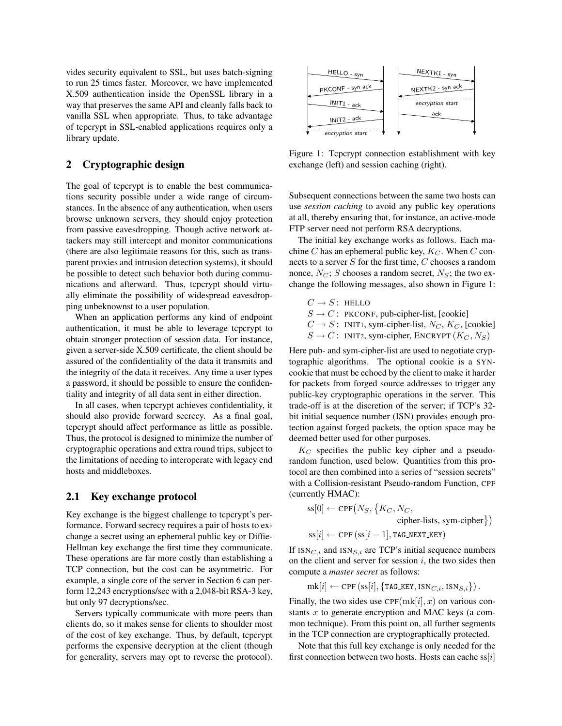vides security equivalent to SSL, but uses batch-signing to run 25 times faster. Moreover, we have implemented X.509 authentication inside the OpenSSL library in a way that preserves the same API and cleanly falls back to vanilla SSL when appropriate. Thus, to take advantage of tcpcrypt in SSL-enabled applications requires only a library update.

# 2 Cryptographic design

The goal of tcpcrypt is to enable the best communications security possible under a wide range of circumstances. In the absence of any authentication, when users browse unknown servers, they should enjoy protection from passive eavesdropping. Though active network attackers may still intercept and monitor communications (there are also legitimate reasons for this, such as transparent proxies and intrusion detection systems), it should be possible to detect such behavior both during communications and afterward. Thus, tcpcrypt should virtually eliminate the possibility of widespread eavesdropping unbeknownst to a user population.

When an application performs any kind of endpoint authentication, it must be able to leverage tcpcrypt to obtain stronger protection of session data. For instance, given a server-side X.509 certificate, the client should be assured of the confidentiality of the data it transmits and the integrity of the data it receives. Any time a user types a password, it should be possible to ensure the confidentiality and integrity of all data sent in either direction.

In all cases, when tcpcrypt achieves confidentiality, it should also provide forward secrecy. As a final goal, tcpcrypt should affect performance as little as possible. Thus, the protocol is designed to minimize the number of cryptographic operations and extra round trips, subject to the limitations of needing to interoperate with legacy end hosts and middleboxes.

#### 2.1 Key exchange protocol

Key exchange is the biggest challenge to tcpcrypt's performance. Forward secrecy requires a pair of hosts to exchange a secret using an ephemeral public key or Diffie-Hellman key exchange the first time they communicate. These operations are far more costly than establishing a TCP connection, but the cost can be asymmetric. For example, a single core of the server in Section [6](#page-9-0) can perform 12,243 encryptions/sec with a 2,048-bit RSA-3 key, but only 97 decryptions/sec.

Servers typically communicate with more peers than clients do, so it makes sense for clients to shoulder most of the cost of key exchange. Thus, by default, tcpcrypt performs the expensive decryption at the client (though for generality, servers may opt to reverse the protocol).



<span id="page-2-0"></span>Figure 1: Tcpcrypt connection establishment with key exchange (left) and session caching (right).

Subsequent connections between the same two hosts can use *session caching* to avoid any public key operations at all, thereby ensuring that, for instance, an active-mode FTP server need not perform RSA decryptions.

The initial key exchange works as follows. Each machine C has an ephemeral public key,  $K_C$ . When C connects to a server  $S$  for the first time,  $C$  chooses a random nonce,  $N_C$ ; S chooses a random secret,  $N_S$ ; the two exchange the following messages, also shown in Figure [1:](#page-2-0)

 $C \rightarrow S$ : HELLO  $S \rightarrow C$ : PKCONF, pub-cipher-list, [cookie]

- $C \rightarrow S$ : INIT1, sym-cipher-list,  $N_C$ ,  $K_C$ , [cookie]
- $S \to C$ : INIT2, sym-cipher, ENCRYPT  $(K_C, N_S)$

Here pub- and sym-cipher-list are used to negotiate cryptographic algorithms. The optional cookie is a SYNcookie that must be echoed by the client to make it harder for packets from forged source addresses to trigger any public-key cryptographic operations in the server. This trade-off is at the discretion of the server; if TCP's 32 bit initial sequence number (ISN) provides enough protection against forged packets, the option space may be deemed better used for other purposes.

 $K_C$  specifies the public key cipher and a pseudorandom function, used below. Quantities from this protocol are then combined into a series of "session secrets" with a Collision-resistant Pseudo-random Function, CPF (currently HMAC):

$$
ss[0] \leftarrow \text{CFF}(N_S, \{K_C, N_C,
$$
  
cipher-lists, sym-cipher  
}}  
ss[i] \leftarrow \text{CFF}(ss[i-1], TAG.NEXT\\_KEY)

If  $\text{ISN}_{C,i}$  and  $\text{ISN}_{S,i}$  are TCP's initial sequence numbers on the client and server for session  $i$ , the two sides then compute a *master secret* as follows:

 $mk[i] \leftarrow$  CPF  $(ss[i], \{TAG\_KEY, ISN_{C,i}, ISN_{S,i}\})$ .

Finally, the two sides use  $\text{CPF}(\text{mk}[i], x)$  on various constants  $x$  to generate encryption and MAC keys (a common technique). From this point on, all further segments in the TCP connection are cryptographically protected.

Note that this full key exchange is only needed for the first connection between two hosts. Hosts can cache  $ss[i]$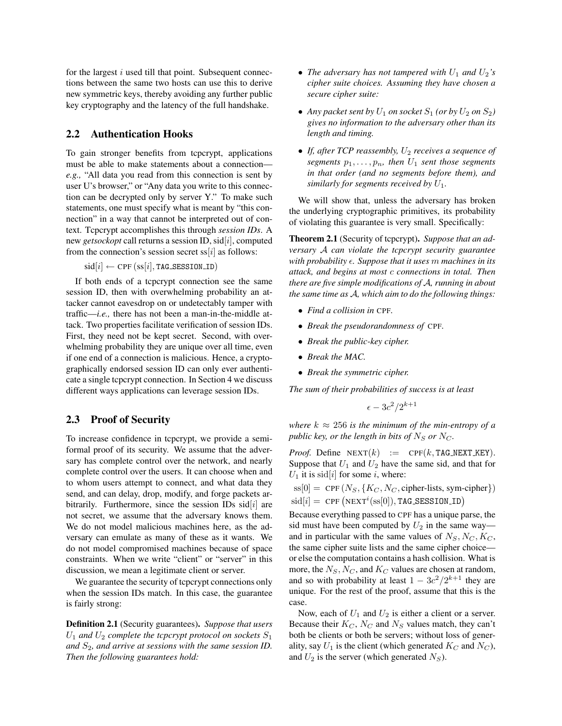for the largest  $i$  used till that point. Subsequent connections between the same two hosts can use this to derive new symmetric keys, thereby avoiding any further public key cryptography and the latency of the full handshake.

### 2.2 Authentication Hooks

To gain stronger benefits from tcpcrypt, applications must be able to make statements about a connection *e.g.,* "All data you read from this connection is sent by user U's browser," or "Any data you write to this connection can be decrypted only by server Y." To make such statements, one must specify what is meant by "this connection" in a way that cannot be interpreted out of context. Tcpcrypt accomplishes this through *session IDs*. A new *getsockopt* call returns a session ID, sid[i], computed from the connection's session secret  $ss[i]$  as follows:

 $sid[i] \leftarrow CPF(ssi[i], TAG\_SESSION\_ID)$ 

If both ends of a tcpcrypt connection see the same session ID, then with overwhelming probability an attacker cannot eavesdrop on or undetectably tamper with traffic—*i.e.,* there has not been a man-in-the-middle attack. Two properties facilitate verification of session IDs. First, they need not be kept secret. Second, with overwhelming probability they are unique over all time, even if one end of a connection is malicious. Hence, a cryptographically endorsed session ID can only ever authenticate a single tcpcrypt connection. In Section [4](#page-6-0) we discuss different ways applications can leverage session IDs.

### 2.3 Proof of Security

To increase confidence in tcpcrypt, we provide a semiformal proof of its security. We assume that the adversary has complete control over the network, and nearly complete control over the users. It can choose when and to whom users attempt to connect, and what data they send, and can delay, drop, modify, and forge packets arbitrarily. Furthermore, since the session IDs  $sid[i]$  are not secret, we assume that the adversary knows them. We do not model malicious machines here, as the adversary can emulate as many of these as it wants. We do not model compromised machines because of space constraints. When we write "client" or "server" in this discussion, we mean a legitimate client or server.

We guarantee the security of tcpcrypt connections only when the session IDs match. In this case, the guarantee is fairly strong:

Definition 2.1 (Security guarantees). *Suppose that users*  $U_1$  and  $U_2$  complete the tcpcrypt protocol on sockets  $S_1$ and  $S_2$ , and arrive at sessions with the same session ID. *Then the following guarantees hold:*

- *The adversary has not tampered with*  $U_1$  *and*  $U_2$ *'s cipher suite choices. Assuming they have chosen a secure cipher suite:*
- Any packet sent by  $U_1$  on socket  $S_1$  (or by  $U_2$  on  $S_2$ ) *gives no information to the adversary other than its length and timing.*
- *If, after TCP reassembly, U<sub>2</sub> receives a sequence of segments*  $p_1, \ldots, p_n$ *, then*  $U_1$  *sent those segments in that order (and no segments before them), and similarly for segments received by*  $U_1$ .

We will show that, unless the adversary has broken the underlying cryptographic primitives, its probability of violating this guarantee is very small. Specifically:

Theorem 2.1 (Security of tcpcrypt). *Suppose that an adversary* A *can violate the tcpcrypt security guarantee with probability*  $\epsilon$ *. Suppose that it uses m machines in its attack, and begins at most* c *connections in total. Then there are five simple modifications of* A*, running in about the same time as* A*, which aim to do the following things:*

- *Find a collision in* CPF*.*
- *Break the pseudorandomness of* CPF*.*
- *Break the public-key cipher.*
- *Break the MAC.*
- *Break the symmetric cipher.*

*The sum of their probabilities of success is at least*

$$
\epsilon - 3c^2/2^{k+1}
$$

*where*  $k \approx 256$  *is the minimum of the min-entropy of a public key, or the length in bits of*  $N_S$  *or*  $N_C$ *.* 

*Proof.* Define  $NEXT(k) := CPF(k, TAG_NEXT_KEY)$ . Suppose that  $U_1$  and  $U_2$  have the same sid, and that for  $U_1$  it is sid[i] for some i, where:

 $ss[0] = \text{CPF}(N_S, \{K_C, N_C, \text{cipher-lists}, \text{sym-cipher}\})$  $\text{sid}[i] = \text{CPF}(\text{NEXT}^i(\text{ss}[0]), \text{TAG\_SESSION\_ID})$ 

Because everything passed to CPF has a unique parse, the sid must have been computed by  $U_2$  in the same way and in particular with the same values of  $N_S, N_C, K_C$ , the same cipher suite lists and the same cipher choice or else the computation contains a hash collision. What is more, the  $N_S$ ,  $N_C$ , and  $K_C$  values are chosen at random, and so with probability at least  $1 - 3c^2/2^{k+1}$  they are unique. For the rest of the proof, assume that this is the case.

Now, each of  $U_1$  and  $U_2$  is either a client or a server. Because their  $K_C$ ,  $N_C$  and  $N_S$  values match, they can't both be clients or both be servers; without loss of generality, say  $U_1$  is the client (which generated  $K_C$  and  $N_C$ ), and  $U_2$  is the server (which generated  $N_S$ ).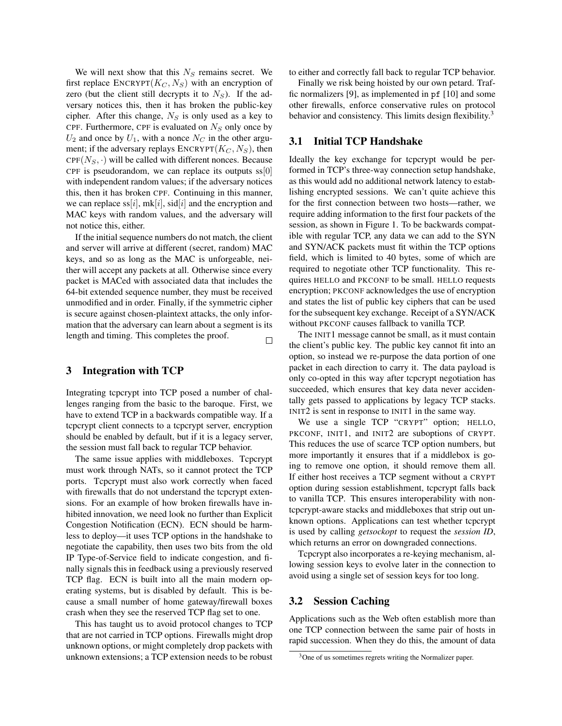We will next show that this  $N<sub>S</sub>$  remains secret. We first replace  $\text{ENCRYPT}(K_C, N_S)$  with an encryption of zero (but the client still decrypts it to  $N<sub>S</sub>$ ). If the adversary notices this, then it has broken the public-key cipher. After this change,  $N<sub>S</sub>$  is only used as a key to CPF. Furthermore, CPF is evaluated on  $N<sub>S</sub>$  only once by  $U_2$  and once by  $U_1$ , with a nonce  $N_C$  in the other argument; if the adversary replays  $\text{ENCRYPT}(K_C, N_S)$ , then  $CPF(N_S, \cdot)$  will be called with different nonces. Because CPF is pseudorandom, we can replace its outputs  $ss[0]$ with independent random values; if the adversary notices this, then it has broken CPF. Continuing in this manner, we can replace ss[i],  $mk[i]$ , sid[i] and the encryption and MAC keys with random values, and the adversary will not notice this, either.

If the initial sequence numbers do not match, the client and server will arrive at different (secret, random) MAC keys, and so as long as the MAC is unforgeable, neither will accept any packets at all. Otherwise since every packet is MACed with associated data that includes the 64-bit extended sequence number, they must be received unmodified and in order. Finally, if the symmetric cipher is secure against chosen-plaintext attacks, the only information that the adversary can learn about a segment is its length and timing. This completes the proof.  $\Box$ 

# 3 Integration with TCP

Integrating tcpcrypt into TCP posed a number of challenges ranging from the basic to the baroque. First, we have to extend TCP in a backwards compatible way. If a tcpcrypt client connects to a tcpcrypt server, encryption should be enabled by default, but if it is a legacy server, the session must fall back to regular TCP behavior.

The same issue applies with middleboxes. Tcpcrypt must work through NATs, so it cannot protect the TCP ports. Tcpcrypt must also work correctly when faced with firewalls that do not understand the tcpcrypt extensions. For an example of how broken firewalls have inhibited innovation, we need look no further than Explicit Congestion Notification (ECN). ECN should be harmless to deploy—it uses TCP options in the handshake to negotiate the capability, then uses two bits from the old IP Type-of-Service field to indicate congestion, and finally signals this in feedback using a previously reserved TCP flag. ECN is built into all the main modern operating systems, but is disabled by default. This is because a small number of home gateway/firewall boxes crash when they see the reserved TCP flag set to one.

This has taught us to avoid protocol changes to TCP that are not carried in TCP options. Firewalls might drop unknown options, or might completely drop packets with unknown extensions; a TCP extension needs to be robust to either and correctly fall back to regular TCP behavior.

Finally we risk being hoisted by our own petard. Traffic normalizers [\[9\]](#page-15-3), as implemented in pf [\[10\]](#page-15-4) and some other firewalls, enforce conservative rules on protocol behavior and consistency. This limits design flexibility.<sup>[3](#page-4-0)</sup>

# 3.1 Initial TCP Handshake

Ideally the key exchange for tcpcrypt would be performed in TCP's three-way connection setup handshake, as this would add no additional network latency to establishing encrypted sessions. We can't quite achieve this for the first connection between two hosts—rather, we require adding information to the first four packets of the session, as shown in Figure [1.](#page-2-0) To be backwards compatible with regular TCP, any data we can add to the SYN and SYN/ACK packets must fit within the TCP options field, which is limited to 40 bytes, some of which are required to negotiate other TCP functionality. This requires HELLO and PKCONF to be small. HELLO requests encryption; PKCONF acknowledges the use of encryption and states the list of public key ciphers that can be used for the subsequent key exchange. Receipt of a SYN/ACK without PKCONF causes fallback to vanilla TCP.

The INIT1 message cannot be small, as it must contain the client's public key. The public key cannot fit into an option, so instead we re-purpose the data portion of one packet in each direction to carry it. The data payload is only co-opted in this way after tcpcrypt negotiation has succeeded, which ensures that key data never accidentally gets passed to applications by legacy TCP stacks. INIT2 is sent in response to INIT1 in the same way.

We use a single TCP "CRYPT" option; HELLO, PKCONF, INIT1, and INIT2 are suboptions of CRYPT. This reduces the use of scarce TCP option numbers, but more importantly it ensures that if a middlebox is going to remove one option, it should remove them all. If either host receives a TCP segment without a CRYPT option during session establishment, tcpcrypt falls back to vanilla TCP. This ensures interoperability with nontcpcrypt-aware stacks and middleboxes that strip out unknown options. Applications can test whether tcpcrypt is used by calling *getsockopt* to request the *session ID*, which returns an error on downgraded connections.

Tcpcrypt also incorporates a re-keying mechanism, allowing session keys to evolve later in the connection to avoid using a single set of session keys for too long.

### 3.2 Session Caching

Applications such as the Web often establish more than one TCP connection between the same pair of hosts in rapid succession. When they do this, the amount of data

<span id="page-4-0"></span><sup>&</sup>lt;sup>3</sup>One of us sometimes regrets writing the Normalizer paper.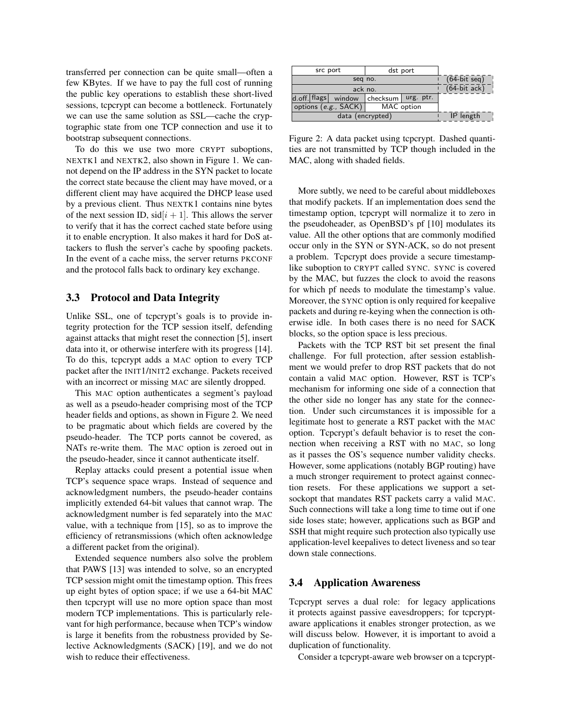transferred per connection can be quite small—often a few KBytes. If we have to pay the full cost of running the public key operations to establish these short-lived sessions, tcpcrypt can become a bottleneck. Fortunately we can use the same solution as SSL—cache the cryptographic state from one TCP connection and use it to bootstrap subsequent connections.

To do this we use two more CRYPT suboptions, NEXTK1 and NEXTK2, also shown in Figure [1.](#page-2-0) We cannot depend on the IP address in the SYN packet to locate the correct state because the client may have moved, or a different client may have acquired the DHCP lease used by a previous client. Thus NEXTK1 contains nine bytes of the next session ID,  $\text{sid}[i+1]$ . This allows the server to verify that it has the correct cached state before using it to enable encryption. It also makes it hard for DoS attackers to flush the server's cache by spoofing packets. In the event of a cache miss, the server returns PKCONF and the protocol falls back to ordinary key exchange.

## 3.3 Protocol and Data Integrity

Unlike SSL, one of tcpcrypt's goals is to provide integrity protection for the TCP session itself, defending against attacks that might reset the connection [\[5\]](#page-15-5), insert data into it, or otherwise interfere with its progress [\[14\]](#page-15-6). To do this, tcpcrypt adds a MAC option to every TCP packet after the INIT1/INIT2 exchange. Packets received with an incorrect or missing MAC are silently dropped.

This MAC option authenticates a segment's payload as well as a pseudo-header comprising most of the TCP header fields and options, as shown in Figure [2.](#page-5-0) We need to be pragmatic about which fields are covered by the pseudo-header. The TCP ports cannot be covered, as NATs re-write them. The MAC option is zeroed out in the pseudo-header, since it cannot authenticate itself.

Replay attacks could present a potential issue when TCP's sequence space wraps. Instead of sequence and acknowledgment numbers, the pseudo-header contains implicitly extended 64-bit values that cannot wrap. The acknowledgment number is fed separately into the MAC value, with a technique from [\[15\]](#page-15-7), so as to improve the efficiency of retransmissions (which often acknowledge a different packet from the original).

Extended sequence numbers also solve the problem that PAWS [\[13\]](#page-15-8) was intended to solve, so an encrypted TCP session might omit the timestamp option. This frees up eight bytes of option space; if we use a 64-bit MAC then tcpcrypt will use no more option space than most modern TCP implementations. This is particularly relevant for high performance, because when TCP's window is large it benefits from the robustness provided by Selective Acknowledgments (SACK) [\[19\]](#page-15-9), and we do not wish to reduce their effectiveness.

| src port                             |                         |        | dst port   |           |                 |  |
|--------------------------------------|-------------------------|--------|------------|-----------|-----------------|--|
| seg no.                              |                         |        |            |           | $(64$ -bit seq) |  |
| ack no.                              |                         |        |            |           | $(64-bitack)$   |  |
|                                      | $d.$ off. $ $ flags $ $ | window | checksum l | urg. ptr. |                 |  |
| options $(e.g., SACK)$<br>MAC option |                         |        |            |           |                 |  |
| data (encrypted)                     |                         |        |            | IP length |                 |  |

<span id="page-5-0"></span>Figure 2: A data packet using tcpcrypt. Dashed quantities are not transmitted by TCP though included in the MAC, along with shaded fields.

More subtly, we need to be careful about middleboxes that modify packets. If an implementation does send the timestamp option, tcpcrypt will normalize it to zero in the pseudoheader, as OpenBSD's pf [\[10\]](#page-15-4) modulates its value. All the other options that are commonly modified occur only in the SYN or SYN-ACK, so do not present a problem. Tcpcrypt does provide a secure timestamplike suboption to CRYPT called SYNC. SYNC is covered by the MAC, but fuzzes the clock to avoid the reasons for which pf needs to modulate the timestamp's value. Moreover, the SYNC option is only required for keepalive packets and during re-keying when the connection is otherwise idle. In both cases there is no need for SACK blocks, so the option space is less precious.

Packets with the TCP RST bit set present the final challenge. For full protection, after session establishment we would prefer to drop RST packets that do not contain a valid MAC option. However, RST is TCP's mechanism for informing one side of a connection that the other side no longer has any state for the connection. Under such circumstances it is impossible for a legitimate host to generate a RST packet with the MAC option. Tcpcrypt's default behavior is to reset the connection when receiving a RST with no MAC, so long as it passes the OS's sequence number validity checks. However, some applications (notably BGP routing) have a much stronger requirement to protect against connection resets. For these applications we support a setsockopt that mandates RST packets carry a valid MAC. Such connections will take a long time to time out if one side loses state; however, applications such as BGP and SSH that might require such protection also typically use application-level keepalives to detect liveness and so tear down stale connections.

#### 3.4 Application Awareness

Tcpcrypt serves a dual role: for legacy applications it protects against passive eavesdroppers; for tcpcryptaware applications it enables stronger protection, as we will discuss below. However, it is important to avoid a duplication of functionality.

Consider a tcpcrypt-aware web browser on a tcpcrypt-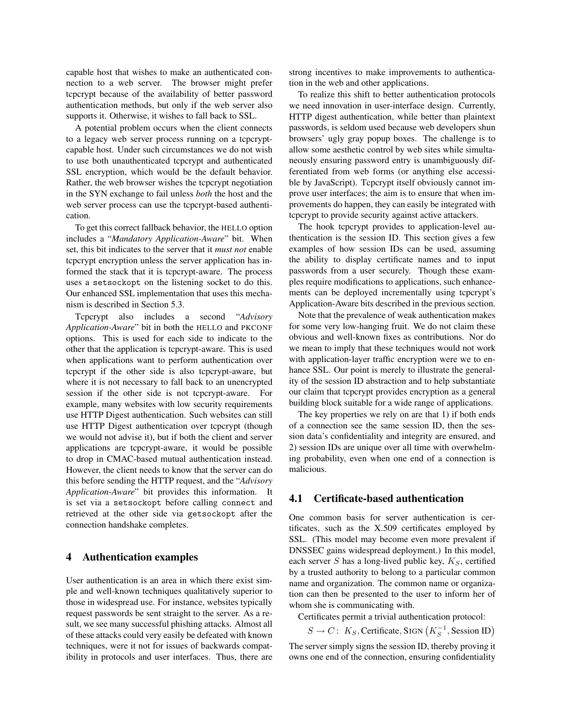capable host that wishes to make an authenticated connection to a web server. The browser might prefer tcpcrypt because of the availability of better password authentication methods, but only if the web server also supports it. Otherwise, it wishes to fall back to SSL.

A potential problem occurs when the client connects to a legacy web server process running on a tcpcryptcapable host. Under such circumstances we do not wish to use both unauthenticated tcpcrypt and authenticated SSL encryption, which would be the default behavior. Rather, the web browser wishes the tcpcrypt negotiation in the SYN exchange to fail unless *both* the host and the web server process can use the tcpcrypt-based authentication.

To get this correct fallback behavior, the HELLO option includes a "*Mandatory Application-Aware*" bit. When set, this bit indicates to the server that it *must not* enable tcpcrypt encryption unless the server application has informed the stack that it is tcpcrypt-aware. The process uses a setsockopt on the listening socket to do this. Our enhanced SSL implementation that uses this mechanism is described in Section [5.3.](#page-8-0)

Tcpcrypt also includes a second "*Advisory Application-Aware*" bit in both the HELLO and PKCONF options. This is used for each side to indicate to the other that the application is tcpcrypt-aware. This is used when applications want to perform authentication over tcpcrypt if the other side is also tcpcrypt-aware, but where it is not necessary to fall back to an unencrypted session if the other side is not tcpcrypt-aware. For example, many websites with low security requirements use HTTP Digest authentication. Such websites can still use HTTP Digest authentication over tcpcrypt (though we would not advise it), but if both the client and server applications are tcpcrypt-aware, it would be possible to drop in CMAC-based mutual authentication instead. However, the client needs to know that the server can do this before sending the HTTP request, and the "*Advisory Application-Aware*" bit provides this information. It is set via a setsockopt before calling connect and retrieved at the other side via getsockopt after the connection handshake completes.

## <span id="page-6-0"></span>4 Authentication examples

User authentication is an area in which there exist simple and well-known techniques qualitatively superior to those in widespread use. For instance, websites typically request passwords be sent straight to the server. As a result, we see many successful phishing attacks. Almost all of these attacks could very easily be defeated with known techniques, were it not for issues of backwards compatibility in protocols and user interfaces. Thus, there are strong incentives to make improvements to authentication in the web and other applications.

To realize this shift to better authentication protocols we need innovation in user-interface design. Currently, HTTP digest authentication, while better than plaintext passwords, is seldom used because web developers shun browsers' ugly gray popup boxes. The challenge is to allow some aesthetic control by web sites while simultaneously ensuring password entry is unambiguously differentiated from web forms (or anything else accessible by JavaScript). Tcpcrypt itself obviously cannot improve user interfaces; the aim is to ensure that when improvements do happen, they can easily be integrated with tcpcrypt to provide security against active attackers.

The hook tcpcrypt provides to application-level authentication is the session ID. This section gives a few examples of how session IDs can be used, assuming the ability to display certificate names and to input passwords from a user securely. Though these examples require modifications to applications, such enhancements can be deployed incrementally using tcpcrypt's Application-Aware bits described in the previous section.

Note that the prevalence of weak authentication makes for some very low-hanging fruit. We do not claim these obvious and well-known fixes as contributions. Nor do we mean to imply that these techniques would not work with application-layer traffic encryption were we to enhance SSL. Our point is merely to illustrate the generality of the session ID abstraction and to help substantiate our claim that tcpcrypt provides encryption as a general building block suitable for a wide range of applications.

The key properties we rely on are that 1) if both ends of a connection see the same session ID, then the session data's confidentiality and integrity are ensured, and 2) session IDs are unique over all time with overwhelming probability, even when one end of a connection is malicious.

#### 4.1 Certificate-based authentication

One common basis for server authentication is certificates, such as the X.509 certificates employed by SSL. (This model may become even more prevalent if DNSSEC gains widespread deployment.) In this model, each server  $S$  has a long-lived public key,  $K_S$ , certified by a trusted authority to belong to a particular common name and organization. The common name or organization can then be presented to the user to inform her of whom she is communicating with.

Certificates permit a trivial authentication protocol:

 $S \to C$ :  $K_S$ , Certificate, SIGN  $(K_S^{-1},$  Session ID)

The server simply signs the session ID, thereby proving it owns one end of the connection, ensuring confidentiality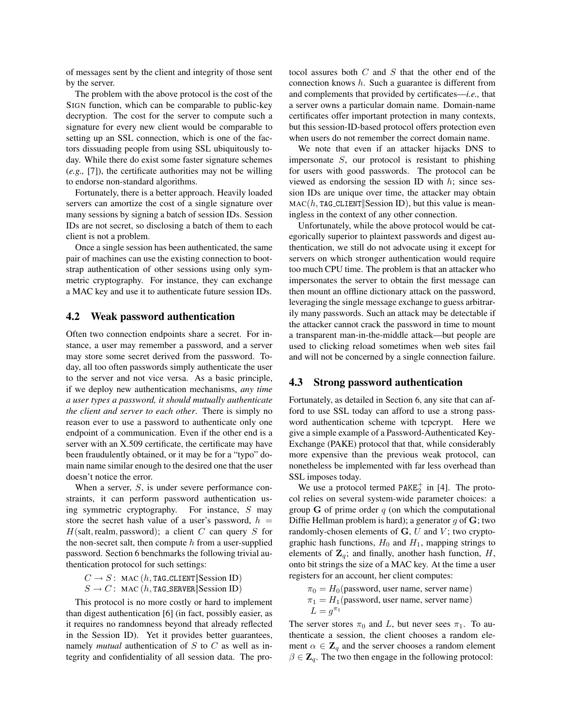of messages sent by the client and integrity of those sent by the server.

The problem with the above protocol is the cost of the SIGN function, which can be comparable to public-key decryption. The cost for the server to compute such a signature for every new client would be comparable to setting up an SSL connection, which is one of the factors dissuading people from using SSL ubiquitously today. While there do exist some faster signature schemes (*e.g.,* [\[7\]](#page-15-10)), the certificate authorities may not be willing to endorse non-standard algorithms.

Fortunately, there is a better approach. Heavily loaded servers can amortize the cost of a single signature over many sessions by signing a batch of session IDs. Session IDs are not secret, so disclosing a batch of them to each client is not a problem.

Once a single session has been authenticated, the same pair of machines can use the existing connection to bootstrap authentication of other sessions using only symmetric cryptography. For instance, they can exchange a MAC key and use it to authenticate future session IDs.

### <span id="page-7-0"></span>4.2 Weak password authentication

Often two connection endpoints share a secret. For instance, a user may remember a password, and a server may store some secret derived from the password. Today, all too often passwords simply authenticate the user to the server and not vice versa. As a basic principle, if we deploy new authentication mechanisms, *any time a user types a password, it should mutually authenticate the client and server to each other*. There is simply no reason ever to use a password to authenticate only one endpoint of a communication. Even if the other end is a server with an X.509 certificate, the certificate may have been fraudulently obtained, or it may be for a "typo" domain name similar enough to the desired one that the user doesn't notice the error.

When a server,  $S$ , is under severe performance constraints, it can perform password authentication using symmetric cryptography. For instance, S may store the secret hash value of a user's password,  $h =$  $H(salt, realm, password);$  a client C can query S for the non-secret salt, then compute  $h$  from a user-supplied password. Section [6](#page-9-0) benchmarks the following trivial authentication protocol for such settings:

 $C \rightarrow S$ : MAC (h, TAG\_CLIENT Session ID)

 $S \to C$ : MAC  $(h, \text{TAG\_SERVER}|\text{Session ID})$ 

This protocol is no more costly or hard to implement than digest authentication [\[6\]](#page-15-11) (in fact, possibly easier, as it requires no randomness beyond that already reflected in the Session ID). Yet it provides better guarantees, namely *mutual* authentication of S to C as well as integrity and confidentiality of all session data. The protocol assures both  $C$  and  $S$  that the other end of the connection knows h. Such a guarantee is different from and complements that provided by certificates—*i.e.,* that a server owns a particular domain name. Domain-name certificates offer important protection in many contexts, but this session-ID-based protocol offers protection even when users do not remember the correct domain name.

We note that even if an attacker hijacks DNS to impersonate S, our protocol is resistant to phishing for users with good passwords. The protocol can be viewed as endorsing the session ID with  $h$ ; since session IDs are unique over time, the attacker may obtain  $MAC(h, TAG\_CLIENT|\text{Session ID})$ , but this value is meaningless in the context of any other connection.

Unfortunately, while the above protocol would be categorically superior to plaintext passwords and digest authentication, we still do not advocate using it except for servers on which stronger authentication would require too much CPU time. The problem is that an attacker who impersonates the server to obtain the first message can then mount an offline dictionary attack on the password, leveraging the single message exchange to guess arbitrarily many passwords. Such an attack may be detectable if the attacker cannot crack the password in time to mount a transparent man-in-the-middle attack—but people are used to clicking reload sometimes when web sites fail and will not be concerned by a single connection failure.

#### <span id="page-7-1"></span>4.3 Strong password authentication

Fortunately, as detailed in Section [6,](#page-9-0) any site that can afford to use SSL today can afford to use a strong password authentication scheme with tcpcrypt. Here we give a simple example of a Password-Authenticated Key-Exchange (PAKE) protocol that that, while considerably more expensive than the previous weak protocol, can nonetheless be implemented with far less overhead than SSL imposes today.

We use a protocol termed  $PAKE_2^+$  in [\[4\]](#page-15-12). The protocol relies on several system-wide parameter choices: a group G of prime order  $q$  (on which the computational Diffie Hellman problem is hard); a generator  $q$  of  $\mathbf{G}$ ; two randomly-chosen elements of  $\mathbf{G}, U$  and  $V$ ; two cryptographic hash functions,  $H_0$  and  $H_1$ , mapping strings to elements of  $\mathbf{Z}_q$ ; and finally, another hash function,  $H$ , onto bit strings the size of a MAC key. At the time a user registers for an account, her client computes:

 $\pi_0 = H_0$ (password, user name, server name)  $\pi_1 = H_1$ (password, user name, server name)  $L = g^{\pi_1}$ 

The server stores  $\pi_0$  and L, but never sees  $\pi_1$ . To authenticate a session, the client chooses a random element  $\alpha \in \mathbb{Z}_q$  and the server chooses a random element  $\beta \in \mathbb{Z}_q$ . The two then engage in the following protocol: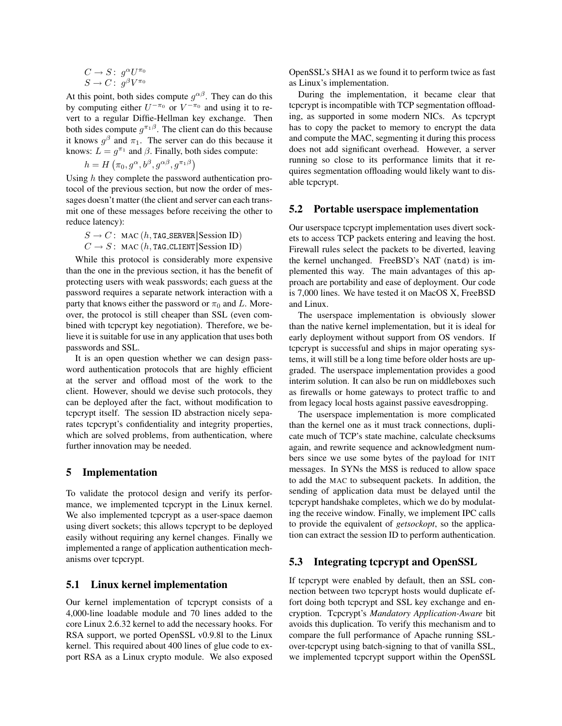$$
\begin{array}{c} C\to S\colon\; g^\alpha U^{\pi_0}\\ S\to C\colon\; g^\beta V^{\pi_0}\end{array}
$$

At this point, both sides compute  $g^{\alpha\beta}$ . They can do this by computing either  $U^{-\pi_0}$  or  $V^{-\pi_0}$  and using it to revert to a regular Diffie-Hellman key exchange. Then both sides compute  $g^{\pi_1\beta}$ . The client can do this because it knows  $g^{\beta}$  and  $\pi_1$ . The server can do this because it knows:  $L = g^{\pi_1}$  and  $\beta$ . Finally, both sides compute:

$$
h = H\left(\pi_0, g^\alpha, b^\beta, g^{\alpha\beta}, g^{\pi_1\beta}\right)
$$

Using h they complete the password authentication protocol of the previous section, but now the order of messages doesn't matter (the client and server can each transmit one of these messages before receiving the other to reduce latency):

$$
\begin{array}{l} S \rightarrow C \colon \text{ MAC } (h, \texttt{TAG\_SERVER} | \texttt{Session ID}) \\ C \rightarrow S \colon \texttt{MAC } (h, \texttt{TAG\_CLIENT} | \texttt{Session ID}) \end{array}
$$

While this protocol is considerably more expensive than the one in the previous section, it has the benefit of protecting users with weak passwords; each guess at the password requires a separate network interaction with a party that knows either the password or  $\pi_0$  and L. Moreover, the protocol is still cheaper than SSL (even combined with tcpcrypt key negotiation). Therefore, we believe it is suitable for use in any application that uses both passwords and SSL.

It is an open question whether we can design password authentication protocols that are highly efficient at the server and offload most of the work to the client. However, should we devise such protocols, they can be deployed after the fact, without modification to tcpcrypt itself. The session ID abstraction nicely separates tcpcrypt's confidentiality and integrity properties, which are solved problems, from authentication, where further innovation may be needed.

#### 5 Implementation

To validate the protocol design and verify its performance, we implemented tcpcrypt in the Linux kernel. We also implemented tcpcrypt as a user-space daemon using divert sockets; this allows tcpcrypt to be deployed easily without requiring any kernel changes. Finally we implemented a range of application authentication mechanisms over tcpcrypt.

## 5.1 Linux kernel implementation

Our kernel implementation of tcpcrypt consists of a 4,000-line loadable module and 70 lines added to the core Linux 2.6.32 kernel to add the necessary hooks. For RSA support, we ported OpenSSL v0.9.8l to the Linux kernel. This required about 400 lines of glue code to export RSA as a Linux crypto module. We also exposed OpenSSL's SHA1 as we found it to perform twice as fast as Linux's implementation.

During the implementation, it became clear that tcpcrypt is incompatible with TCP segmentation offloading, as supported in some modern NICs. As tcpcrypt has to copy the packet to memory to encrypt the data and compute the MAC, segmenting it during this process does not add significant overhead. However, a server running so close to its performance limits that it requires segmentation offloading would likely want to disable tcpcrypt.

### 5.2 Portable userspace implementation

Our userspace tcpcrypt implementation uses divert sockets to access TCP packets entering and leaving the host. Firewall rules select the packets to be diverted, leaving the kernel unchanged. FreeBSD's NAT (natd) is implemented this way. The main advantages of this approach are portability and ease of deployment. Our code is 7,000 lines. We have tested it on MacOS X, FreeBSD and Linux.

The userspace implementation is obviously slower than the native kernel implementation, but it is ideal for early deployment without support from OS vendors. If tcpcrypt is successful and ships in major operating systems, it will still be a long time before older hosts are upgraded. The userspace implementation provides a good interim solution. It can also be run on middleboxes such as firewalls or home gateways to protect traffic to and from legacy local hosts against passive eavesdropping.

The userspace implementation is more complicated than the kernel one as it must track connections, duplicate much of TCP's state machine, calculate checksums again, and rewrite sequence and acknowledgment numbers since we use some bytes of the payload for INIT messages. In SYNs the MSS is reduced to allow space to add the MAC to subsequent packets. In addition, the sending of application data must be delayed until the tcpcrypt handshake completes, which we do by modulating the receive window. Finally, we implement IPC calls to provide the equivalent of *getsockopt*, so the application can extract the session ID to perform authentication.

# <span id="page-8-0"></span>5.3 Integrating tcpcrypt and OpenSSL

If tcpcrypt were enabled by default, then an SSL connection between two tcpcrypt hosts would duplicate effort doing both tcpcrypt and SSL key exchange and encryption. Tcpcrypt's *Mandatory Application-Aware* bit avoids this duplication. To verify this mechanism and to compare the full performance of Apache running SSLover-tcpcrypt using batch-signing to that of vanilla SSL, we implemented tcpcrypt support within the OpenSSL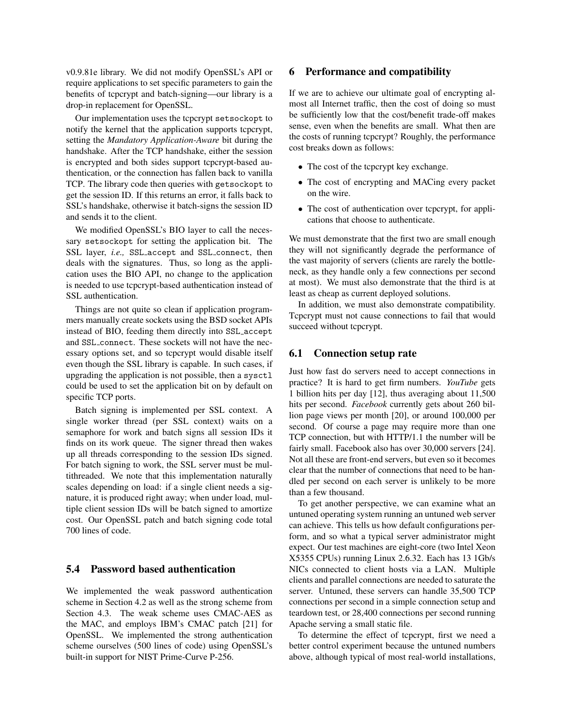v0.9.81e library. We did not modify OpenSSL's API or require applications to set specific parameters to gain the benefits of tcpcrypt and batch-signing—our library is a drop-in replacement for OpenSSL.

Our implementation uses the tcpcrypt setsockopt to notify the kernel that the application supports tcpcrypt, setting the *Mandatory Application-Aware* bit during the handshake. After the TCP handshake, either the session is encrypted and both sides support tcpcrypt-based authentication, or the connection has fallen back to vanilla TCP. The library code then queries with getsockopt to get the session ID. If this returns an error, it falls back to SSL's handshake, otherwise it batch-signs the session ID and sends it to the client.

We modified OpenSSL's BIO layer to call the necessary setsockopt for setting the application bit. The SSL layer, *i.e.,* SSL accept and SSL connect, then deals with the signatures. Thus, so long as the application uses the BIO API, no change to the application is needed to use tcpcrypt-based authentication instead of SSL authentication.

Things are not quite so clean if application programmers manually create sockets using the BSD socket APIs instead of BIO, feeding them directly into SSL accept and SSL connect. These sockets will not have the necessary options set, and so tcpcrypt would disable itself even though the SSL library is capable. In such cases, if upgrading the application is not possible, then a sysctl could be used to set the application bit on by default on specific TCP ports.

Batch signing is implemented per SSL context. A single worker thread (per SSL context) waits on a semaphore for work and batch signs all session IDs it finds on its work queue. The signer thread then wakes up all threads corresponding to the session IDs signed. For batch signing to work, the SSL server must be multithreaded. We note that this implementation naturally scales depending on load: if a single client needs a signature, it is produced right away; when under load, multiple client session IDs will be batch signed to amortize cost. Our OpenSSL patch and batch signing code total 700 lines of code.

# 5.4 Password based authentication

We implemented the weak password authentication scheme in Section [4.2](#page-7-0) as well as the strong scheme from Section [4.3.](#page-7-1) The weak scheme uses CMAC-AES as the MAC, and employs IBM's CMAC patch [\[21\]](#page-15-13) for OpenSSL. We implemented the strong authentication scheme ourselves (500 lines of code) using OpenSSL's built-in support for NIST Prime-Curve P-256.

### <span id="page-9-0"></span>6 Performance and compatibility

If we are to achieve our ultimate goal of encrypting almost all Internet traffic, then the cost of doing so must be sufficiently low that the cost/benefit trade-off makes sense, even when the benefits are small. What then are the costs of running tcpcrypt? Roughly, the performance cost breaks down as follows:

- The cost of the tcpcrypt key exchange.
- The cost of encrypting and MACing every packet on the wire.
- The cost of authentication over tcpcrypt, for applications that choose to authenticate.

We must demonstrate that the first two are small enough they will not significantly degrade the performance of the vast majority of servers (clients are rarely the bottleneck, as they handle only a few connections per second at most). We must also demonstrate that the third is at least as cheap as current deployed solutions.

In addition, we must also demonstrate compatibility. Tcpcrypt must not cause connections to fail that would succeed without tcpcrypt.

### 6.1 Connection setup rate

Just how fast do servers need to accept connections in practice? It is hard to get firm numbers. *YouTube* gets 1 billion hits per day [\[12\]](#page-15-14), thus averaging about 11,500 hits per second. *Facebook* currently gets about 260 billion page views per month [\[20\]](#page-15-15), or around 100,000 per second. Of course a page may require more than one TCP connection, but with HTTP/1.1 the number will be fairly small. Facebook also has over 30,000 servers [\[24\]](#page-15-16). Not all these are front-end servers, but even so it becomes clear that the number of connections that need to be handled per second on each server is unlikely to be more than a few thousand.

To get another perspective, we can examine what an untuned operating system running an untuned web server can achieve. This tells us how default configurations perform, and so what a typical server administrator might expect. Our test machines are eight-core (two Intel Xeon X5355 CPUs) running Linux 2.6.32. Each has 13 1Gb/s NICs connected to client hosts via a LAN. Multiple clients and parallel connections are needed to saturate the server. Untuned, these servers can handle 35,500 TCP connections per second in a simple connection setup and teardown test, or 28,400 connections per second running Apache serving a small static file.

To determine the effect of tcpcrypt, first we need a better control experiment because the untuned numbers above, although typical of most real-world installations,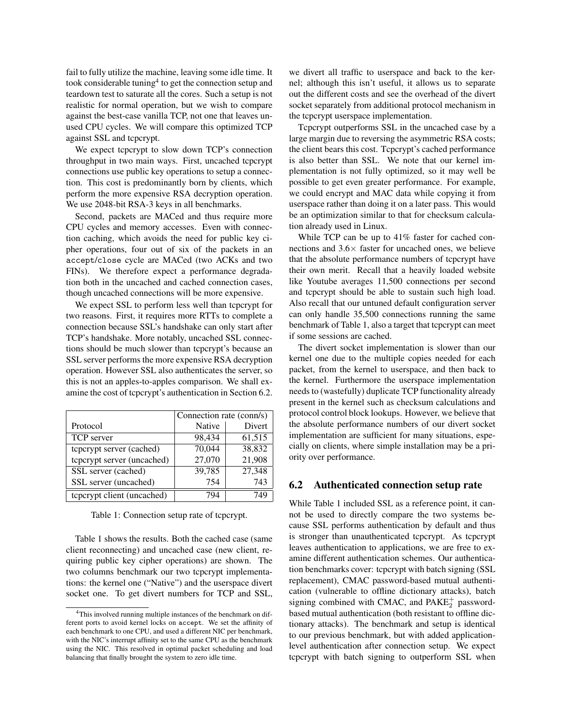fail to fully utilize the machine, leaving some idle time. It took considerable tuning<sup>[4](#page-10-0)</sup> to get the connection setup and teardown test to saturate all the cores. Such a setup is not realistic for normal operation, but we wish to compare against the best-case vanilla TCP, not one that leaves unused CPU cycles. We will compare this optimized TCP against SSL and tcpcrypt.

We expect tcpcrypt to slow down TCP's connection throughput in two main ways. First, uncached tcpcrypt connections use public key operations to setup a connection. This cost is predominantly born by clients, which perform the more expensive RSA decryption operation. We use 2048-bit RSA-3 keys in all benchmarks.

Second, packets are MACed and thus require more CPU cycles and memory accesses. Even with connection caching, which avoids the need for public key cipher operations, four out of six of the packets in an accept/close cycle are MACed (two ACKs and two FINs). We therefore expect a performance degradation both in the uncached and cached connection cases, though uncached connections will be more expensive.

We expect SSL to perform less well than tcpcrypt for two reasons. First, it requires more RTTs to complete a connection because SSL's handshake can only start after TCP's handshake. More notably, uncached SSL connections should be much slower than tcpcrypt's because an SSL server performs the more expensive RSA decryption operation. However SSL also authenticates the server, so this is not an apples-to-apples comparison. We shall examine the cost of tcpcrypt's authentication in Section [6.2.](#page-10-1)

|                            | Connection rate (conn/s) |        |  |
|----------------------------|--------------------------|--------|--|
| Protocol                   | Native                   | Divert |  |
| TCP server                 | 98,434                   | 61,515 |  |
| teperypt server (cached)   | 70,044                   | 38,832 |  |
| tcpcrypt server (uncached) | 27,070                   | 21,908 |  |
| SSL server (cached)        | 39,785                   | 27,348 |  |
| SSL server (uncached)      | 754                      | 743    |  |
| teperypt client (uncached) | 79⊿                      |        |  |

<span id="page-10-2"></span>Table 1: Connection setup rate of tcpcrypt.

Table [1](#page-10-2) shows the results. Both the cached case (same client reconnecting) and uncached case (new client, requiring public key cipher operations) are shown. The two columns benchmark our two tcpcrypt implementations: the kernel one ("Native") and the userspace divert socket one. To get divert numbers for TCP and SSL, we divert all traffic to userspace and back to the kernel; although this isn't useful, it allows us to separate out the different costs and see the overhead of the divert socket separately from additional protocol mechanism in the tcpcrypt userspace implementation.

Tcpcrypt outperforms SSL in the uncached case by a large margin due to reversing the asymmetric RSA costs; the client bears this cost. Tcpcrypt's cached performance is also better than SSL. We note that our kernel implementation is not fully optimized, so it may well be possible to get even greater performance. For example, we could encrypt and MAC data while copying it from userspace rather than doing it on a later pass. This would be an optimization similar to that for checksum calculation already used in Linux.

While TCP can be up to 41% faster for cached connections and  $3.6\times$  faster for uncached ones, we believe that the absolute performance numbers of tcpcrypt have their own merit. Recall that a heavily loaded website like Youtube averages 11,500 connections per second and tcpcrypt should be able to sustain such high load. Also recall that our untuned default configuration server can only handle 35,500 connections running the same benchmark of Table [1,](#page-10-2) also a target that tcpcrypt can meet if some sessions are cached.

The divert socket implementation is slower than our kernel one due to the multiple copies needed for each packet, from the kernel to userspace, and then back to the kernel. Furthermore the userspace implementation needs to (wastefully) duplicate TCP functionality already present in the kernel such as checksum calculations and protocol control block lookups. However, we believe that the absolute performance numbers of our divert socket implementation are sufficient for many situations, especially on clients, where simple installation may be a priority over performance.

#### <span id="page-10-1"></span>6.2 Authenticated connection setup rate

While Table [1](#page-10-2) included SSL as a reference point, it cannot be used to directly compare the two systems because SSL performs authentication by default and thus is stronger than unauthenticated tcpcrypt. As tcpcrypt leaves authentication to applications, we are free to examine different authentication schemes. Our authentication benchmarks cover: tcpcrypt with batch signing (SSL replacement), CMAC password-based mutual authentication (vulnerable to offline dictionary attacks), batch signing combined with CMAC, and  $\text{PAKE}_2^+$  passwordbased mutual authentication (both resistant to offline dictionary attacks). The benchmark and setup is identical to our previous benchmark, but with added applicationlevel authentication after connection setup. We expect tcpcrypt with batch signing to outperform SSL when

<span id="page-10-0"></span><sup>4</sup>This involved running multiple instances of the benchmark on different ports to avoid kernel locks on accept. We set the affinity of each benchmark to one CPU, and used a different NIC per benchmark, with the NIC's interrupt affinity set to the same CPU as the benchmark using the NIC. This resolved in optimal packet scheduling and load balancing that finally brought the system to zero idle time.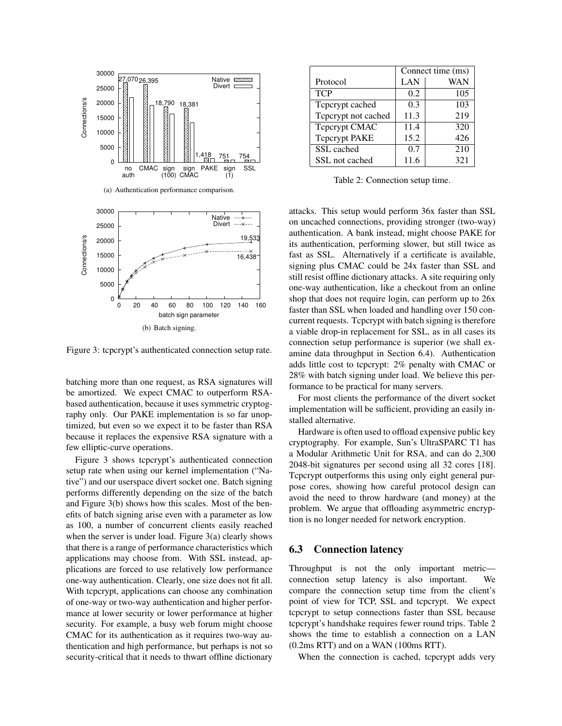<span id="page-11-2"></span>

<span id="page-11-1"></span><span id="page-11-0"></span>Figure 3: tcpcrypt's authenticated connection setup rate.

batching more than one request, as RSA signatures will be amortized. We expect CMAC to outperform RSAbased authentication, because it uses symmetric cryptography only. Our PAKE implementation is so far unoptimized, but even so we expect it to be faster than RSA because it replaces the expensive RSA signature with a few elliptic-curve operations.

Figure [3](#page-11-0) shows tcpcrypt's authenticated connection setup rate when using our kernel implementation ("Native") and our userspace divert socket one. Batch signing performs differently depending on the size of the batch and Figure [3\(b\)](#page-11-1) shows how this scales. Most of the benefits of batch signing arise even with a parameter as low as 100, a number of concurrent clients easily reached when the server is under load. Figure  $3(a)$  clearly shows that there is a range of performance characteristics which applications may choose from. With SSL instead, applications are forced to use relatively low performance one-way authentication. Clearly, one size does not fit all. With tcpcrypt, applications can choose any combination of one-way or two-way authentication and higher performance at lower security or lower performance at higher security. For example, a busy web forum might choose CMAC for its authentication as it requires two-way authentication and high performance, but perhaps is not so security-critical that it needs to thwart offline dictionary

|                      | Connect time (ms) |     |  |
|----------------------|-------------------|-----|--|
| Protocol             | LAN               | WAN |  |
| <b>TCP</b>           | 0.2               | 105 |  |
| Teperypt cached      | 0.3               | 103 |  |
| Teperypt not cached  | 11.3              | 219 |  |
| Teperypt CMAC        | 11.4              | 320 |  |
| <b>Teperypt PAKE</b> | 15.2              | 426 |  |
| SSL cached           | 0.7               | 210 |  |
| SSL not cached       | 11.6              | 321 |  |

<span id="page-11-3"></span>Table 2: Connection setup time.

attacks. This setup would perform 36x faster than SSL on uncached connections, providing stronger (two-way) authentication. A bank instead, might choose PAKE for its authentication, performing slower, but still twice as fast as SSL. Alternatively if a certificate is available, signing plus CMAC could be 24x faster than SSL and still resist offline dictionary attacks. A site requiring only one-way authentication, like a checkout from an online shop that does not require login, can perform up to 26x faster than SSL when loaded and handling over 150 concurrent requests. Tcpcrypt with batch signing is therefore a viable drop-in replacement for SSL, as in all cases its connection setup performance is superior (we shall examine data throughput in Section [6.4\)](#page-12-0). Authentication adds little cost to tcpcrypt: 2% penalty with CMAC or 28% with batch signing under load. We believe this performance to be practical for many servers.

For most clients the performance of the divert socket implementation will be sufficient, providing an easily installed alternative.

Hardware is often used to offload expensive public key cryptography. For example, Sun's UltraSPARC T1 has a Modular Arithmetic Unit for RSA, and can do 2,300 2048-bit signatures per second using all 32 cores [\[18\]](#page-15-17). Tcpcrypt outperforms this using only eight general purpose cores, showing how careful protocol design can avoid the need to throw hardware (and money) at the problem. We argue that offloading asymmetric encryption is no longer needed for network encryption.

# 6.3 Connection latency

Throughput is not the only important metric connection setup latency is also important. We compare the connection setup time from the client's point of view for TCP, SSL and tcpcrypt. We expect tcpcrypt to setup connections faster than SSL because tcpcrypt's handshake requires fewer round trips. Table [2](#page-11-3) shows the time to establish a connection on a LAN (0.2ms RTT) and on a WAN (100ms RTT).

When the connection is cached, tcpcrypt adds very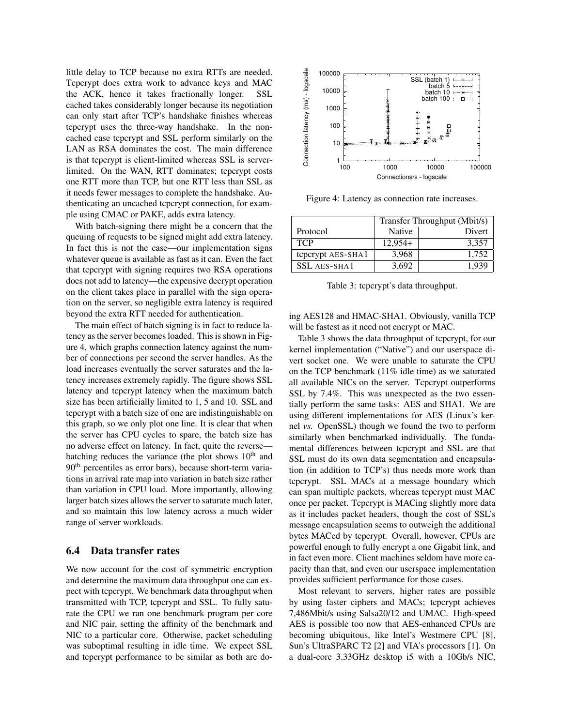little delay to TCP because no extra RTTs are needed. Tcpcrypt does extra work to advance keys and MAC the ACK, hence it takes fractionally longer. SSL cached takes considerably longer because its negotiation can only start after TCP's handshake finishes whereas tcpcrypt uses the three-way handshake. In the noncached case tcpcrypt and SSL perform similarly on the LAN as RSA dominates the cost. The main difference is that tcpcrypt is client-limited whereas SSL is serverlimited. On the WAN, RTT dominates; tcpcrypt costs one RTT more than TCP, but one RTT less than SSL as it needs fewer messages to complete the handshake. Authenticating an uncached tcpcrypt connection, for example using CMAC or PAKE, adds extra latency.

With batch-signing there might be a concern that the queuing of requests to be signed might add extra latency. In fact this is not the case—our implementation signs whatever queue is available as fast as it can. Even the fact that tcpcrypt with signing requires two RSA operations does not add to latency—the expensive decrypt operation on the client takes place in parallel with the sign operation on the server, so negligible extra latency is required beyond the extra RTT needed for authentication.

The main effect of batch signing is in fact to reduce latency as the server becomes loaded. This is shown in Figure [4,](#page-12-1) which graphs connection latency against the number of connections per second the server handles. As the load increases eventually the server saturates and the latency increases extremely rapidly. The figure shows SSL latency and tcpcrypt latency when the maximum batch size has been artificially limited to 1, 5 and 10. SSL and tcpcrypt with a batch size of one are indistinguishable on this graph, so we only plot one line. It is clear that when the server has CPU cycles to spare, the batch size has no adverse effect on latency. In fact, quite the reverse batching reduces the variance (the plot shows  $10<sup>th</sup>$  and 90th percentiles as error bars), because short-term variations in arrival rate map into variation in batch size rather than variation in CPU load. More importantly, allowing larger batch sizes allows the server to saturate much later, and so maintain this low latency across a much wider range of server workloads.

#### <span id="page-12-0"></span>6.4 Data transfer rates

We now account for the cost of symmetric encryption and determine the maximum data throughput one can expect with tcpcrypt. We benchmark data throughput when transmitted with TCP, tcpcrypt and SSL. To fully saturate the CPU we ran one benchmark program per core and NIC pair, setting the affinity of the benchmark and NIC to a particular core. Otherwise, packet scheduling was suboptimal resulting in idle time. We expect SSL and tcpcrypt performance to be similar as both are do-



<span id="page-12-1"></span>Figure 4: Latency as connection rate increases.

|                     | Transfer Throughput (Mbit/s) |               |  |
|---------------------|------------------------------|---------------|--|
| Protocol            | <b>Native</b>                | <b>Divert</b> |  |
| <b>TCP</b>          | $12.954+$                    | 3,357         |  |
| teperypt AES-SHA1   | 3.968                        | 1.752         |  |
| <b>SSL AES-SHA1</b> | 3.692                        | 1.939         |  |

<span id="page-12-2"></span>Table 3: tcpcrypt's data throughput.

ing AES128 and HMAC-SHA1. Obviously, vanilla TCP will be fastest as it need not encrypt or MAC.

Table [3](#page-12-2) shows the data throughput of tcpcrypt, for our kernel implementation ("Native") and our userspace divert socket one. We were unable to saturate the CPU on the TCP benchmark (11% idle time) as we saturated all available NICs on the server. Tcpcrypt outperforms SSL by 7.4%. This was unexpected as the two essentially perform the same tasks: AES and SHA1. We are using different implementations for AES (Linux's kernel *vs.* OpenSSL) though we found the two to perform similarly when benchmarked individually. The fundamental differences between tcpcrypt and SSL are that SSL must do its own data segmentation and encapsulation (in addition to TCP's) thus needs more work than tcpcrypt. SSL MACs at a message boundary which can span multiple packets, whereas tcpcrypt must MAC once per packet. Tcpcrypt is MACing slightly more data as it includes packet headers, though the cost of SSL's message encapsulation seems to outweigh the additional bytes MACed by tcpcrypt. Overall, however, CPUs are powerful enough to fully encrypt a one Gigabit link, and in fact even more. Client machines seldom have more capacity than that, and even our userspace implementation provides sufficient performance for those cases.

Most relevant to servers, higher rates are possible by using faster ciphers and MACs; tcpcrypt achieves 7,486Mbit/s using Salsa20/12 and UMAC. High-speed AES is possible too now that AES-enhanced CPUs are becoming ubiquitous, like Intel's Westmere CPU [\[8\]](#page-15-2), Sun's UltraSPARC T2 [\[2\]](#page-15-18) and VIA's processors [\[1\]](#page-15-19). On a dual-core 3.33GHz desktop i5 with a 10Gb/s NIC,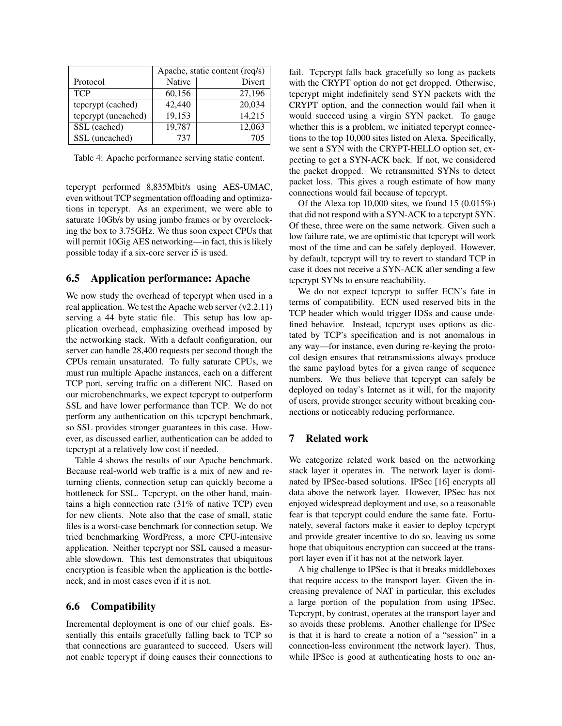|                     |        | Apache, static content (req/s) |  |
|---------------------|--------|--------------------------------|--|
| Protocol            | Native | Divert                         |  |
| <b>TCP</b>          | 60,156 | 27,196                         |  |
| tcpcrypt (cached)   | 42,440 | 20,034                         |  |
| tcpcrypt (uncached) | 19,153 | 14,215                         |  |
| SSL (cached)        | 19,787 | 12,063                         |  |
| SSL (uncached)      | 737    | 705                            |  |

<span id="page-13-0"></span>Table 4: Apache performance serving static content.

tcpcrypt performed 8,835Mbit/s using AES-UMAC, even without TCP segmentation offloading and optimizations in tcpcrypt. As an experiment, we were able to saturate 10Gb/s by using jumbo frames or by overclocking the box to 3.75GHz. We thus soon expect CPUs that will permit 10Gig AES networking—in fact, this is likely possible today if a six-core server i5 is used.

### 6.5 Application performance: Apache

We now study the overhead of tcpcrypt when used in a real application. We test the Apache web server (v2.2.11) serving a 44 byte static file. This setup has low application overhead, emphasizing overhead imposed by the networking stack. With a default configuration, our server can handle 28,400 requests per second though the CPUs remain unsaturated. To fully saturate CPUs, we must run multiple Apache instances, each on a different TCP port, serving traffic on a different NIC. Based on our microbenchmarks, we expect tcpcrypt to outperform SSL and have lower performance than TCP. We do not perform any authentication on this tcpcrypt benchmark, so SSL provides stronger guarantees in this case. However, as discussed earlier, authentication can be added to tcpcrypt at a relatively low cost if needed.

Table [4](#page-13-0) shows the results of our Apache benchmark. Because real-world web traffic is a mix of new and returning clients, connection setup can quickly become a bottleneck for SSL. Tcpcrypt, on the other hand, maintains a high connection rate (31% of native TCP) even for new clients. Note also that the case of small, static files is a worst-case benchmark for connection setup. We tried benchmarking WordPress, a more CPU-intensive application. Neither tcpcrypt nor SSL caused a measurable slowdown. This test demonstrates that ubiquitous encryption is feasible when the application is the bottleneck, and in most cases even if it is not.

## 6.6 Compatibility

Incremental deployment is one of our chief goals. Essentially this entails gracefully falling back to TCP so that connections are guaranteed to succeed. Users will not enable tcpcrypt if doing causes their connections to fail. Tcpcrypt falls back gracefully so long as packets with the CRYPT option do not get dropped. Otherwise, tcpcrypt might indefinitely send SYN packets with the CRYPT option, and the connection would fail when it would succeed using a virgin SYN packet. To gauge whether this is a problem, we initiated tcpcrypt connections to the top 10,000 sites listed on Alexa. Specifically, we sent a SYN with the CRYPT-HELLO option set, expecting to get a SYN-ACK back. If not, we considered the packet dropped. We retransmitted SYNs to detect packet loss. This gives a rough estimate of how many connections would fail because of tcpcrypt.

Of the Alexa top 10,000 sites, we found 15 (0.015%) that did not respond with a SYN-ACK to a tcpcrypt SYN. Of these, three were on the same network. Given such a low failure rate, we are optimistic that tcpcrypt will work most of the time and can be safely deployed. However, by default, tcpcrypt will try to revert to standard TCP in case it does not receive a SYN-ACK after sending a few tcpcrypt SYNs to ensure reachability.

We do not expect tcpcrypt to suffer ECN's fate in terms of compatibility. ECN used reserved bits in the TCP header which would trigger IDSs and cause undefined behavior. Instead, tcpcrypt uses options as dictated by TCP's specification and is not anomalous in any way—for instance, even during re-keying the protocol design ensures that retransmissions always produce the same payload bytes for a given range of sequence numbers. We thus believe that tcpcrypt can safely be deployed on today's Internet as it will, for the majority of users, provide stronger security without breaking connections or noticeably reducing performance.

## 7 Related work

We categorize related work based on the networking stack layer it operates in. The network layer is dominated by IPSec-based solutions. IPSec [\[16\]](#page-15-20) encrypts all data above the network layer. However, IPSec has not enjoyed widespread deployment and use, so a reasonable fear is that tcpcrypt could endure the same fate. Fortunately, several factors make it easier to deploy tcpcrypt and provide greater incentive to do so, leaving us some hope that ubiquitous encryption can succeed at the transport layer even if it has not at the network layer.

A big challenge to IPSec is that it breaks middleboxes that require access to the transport layer. Given the increasing prevalence of NAT in particular, this excludes a large portion of the population from using IPSec. Tcpcrypt, by contrast, operates at the transport layer and so avoids these problems. Another challenge for IPSec is that it is hard to create a notion of a "session" in a connection-less environment (the network layer). Thus, while IPSec is good at authenticating hosts to one an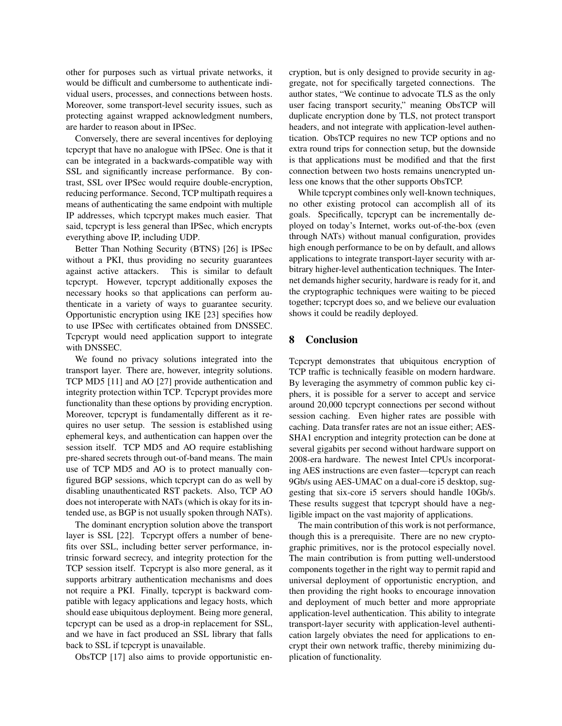other for purposes such as virtual private networks, it would be difficult and cumbersome to authenticate individual users, processes, and connections between hosts. Moreover, some transport-level security issues, such as protecting against wrapped acknowledgment numbers, are harder to reason about in IPSec.

Conversely, there are several incentives for deploying tcpcrypt that have no analogue with IPSec. One is that it can be integrated in a backwards-compatible way with SSL and significantly increase performance. By contrast, SSL over IPSec would require double-encryption, reducing performance. Second, TCP multipath requires a means of authenticating the same endpoint with multiple IP addresses, which tcpcrypt makes much easier. That said, tcpcrypt is less general than IPSec, which encrypts everything above IP, including UDP.

Better Than Nothing Security (BTNS) [\[26\]](#page-15-21) is IPSec without a PKI, thus providing no security guarantees against active attackers. This is similar to default tcpcrypt. However, tcpcrypt additionally exposes the necessary hooks so that applications can perform authenticate in a variety of ways to guarantee security. Opportunistic encryption using IKE [\[23\]](#page-15-22) specifies how to use IPSec with certificates obtained from DNSSEC. Tcpcrypt would need application support to integrate with DNSSEC.

We found no privacy solutions integrated into the transport layer. There are, however, integrity solutions. TCP MD5 [\[11\]](#page-15-23) and AO [\[27\]](#page-15-24) provide authentication and integrity protection within TCP. Tcpcrypt provides more functionality than these options by providing encryption. Moreover, tcpcrypt is fundamentally different as it requires no user setup. The session is established using ephemeral keys, and authentication can happen over the session itself. TCP MD5 and AO require establishing pre-shared secrets through out-of-band means. The main use of TCP MD5 and AO is to protect manually configured BGP sessions, which tcpcrypt can do as well by disabling unauthenticated RST packets. Also, TCP AO does not interoperate with NATs (which is okay for its intended use, as BGP is not usually spoken through NATs).

The dominant encryption solution above the transport layer is SSL [\[22\]](#page-15-25). Tcpcrypt offers a number of benefits over SSL, including better server performance, intrinsic forward secrecy, and integrity protection for the TCP session itself. Tcpcrypt is also more general, as it supports arbitrary authentication mechanisms and does not require a PKI. Finally, tcpcrypt is backward compatible with legacy applications and legacy hosts, which should ease ubiquitous deployment. Being more general, tcpcrypt can be used as a drop-in replacement for SSL, and we have in fact produced an SSL library that falls back to SSL if tcpcrypt is unavailable.

ObsTCP [\[17\]](#page-15-26) also aims to provide opportunistic en-

cryption, but is only designed to provide security in aggregate, not for specifically targeted connections. The author states, "We continue to advocate TLS as the only user facing transport security," meaning ObsTCP will duplicate encryption done by TLS, not protect transport headers, and not integrate with application-level authentication. ObsTCP requires no new TCP options and no extra round trips for connection setup, but the downside is that applications must be modified and that the first connection between two hosts remains unencrypted unless one knows that the other supports ObsTCP.

While tcpcrypt combines only well-known techniques, no other existing protocol can accomplish all of its goals. Specifically, tcpcrypt can be incrementally deployed on today's Internet, works out-of-the-box (even through NATs) without manual configuration, provides high enough performance to be on by default, and allows applications to integrate transport-layer security with arbitrary higher-level authentication techniques. The Internet demands higher security, hardware is ready for it, and the cryptographic techniques were waiting to be pieced together; tcpcrypt does so, and we believe our evaluation shows it could be readily deployed.

## 8 Conclusion

Tcpcrypt demonstrates that ubiquitous encryption of TCP traffic is technically feasible on modern hardware. By leveraging the asymmetry of common public key ciphers, it is possible for a server to accept and service around 20,000 tcpcrypt connections per second without session caching. Even higher rates are possible with caching. Data transfer rates are not an issue either; AES-SHA1 encryption and integrity protection can be done at several gigabits per second without hardware support on 2008-era hardware. The newest Intel CPUs incorporating AES instructions are even faster—tcpcrypt can reach 9Gb/s using AES-UMAC on a dual-core i5 desktop, suggesting that six-core i5 servers should handle 10Gb/s. These results suggest that tcpcrypt should have a negligible impact on the vast majority of applications.

The main contribution of this work is not performance, though this is a prerequisite. There are no new cryptographic primitives, nor is the protocol especially novel. The main contribution is from putting well-understood components together in the right way to permit rapid and universal deployment of opportunistic encryption, and then providing the right hooks to encourage innovation and deployment of much better and more appropriate application-level authentication. This ability to integrate transport-layer security with application-level authentication largely obviates the need for applications to encrypt their own network traffic, thereby minimizing duplication of functionality.